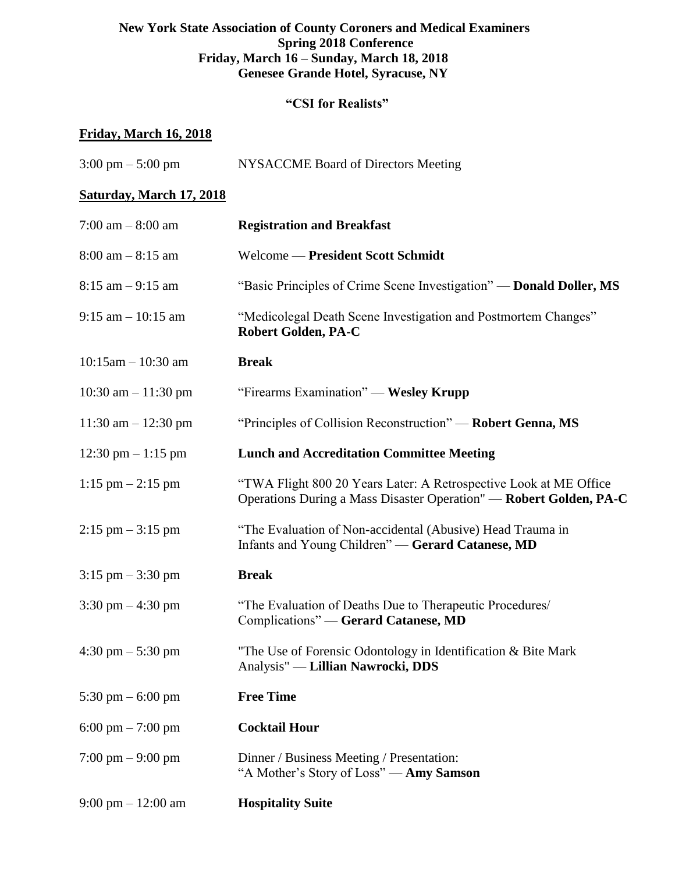# **New York State Association of County Coroners and Medical Examiners Spring 2018 Conference Friday, March 16 – Sunday, March 18, 2018 Genesee Grande Hotel, Syracuse, NY**

# **"CSI for Realists"**

# **Friday, March 16, 2018**

| $3:00 \text{ pm} - 5:00 \text{ pm}$  | NYSACCME Board of Directors Meeting                                                                                                     |
|--------------------------------------|-----------------------------------------------------------------------------------------------------------------------------------------|
| <b>Saturday, March 17, 2018</b>      |                                                                                                                                         |
| 7:00 am $-$ 8:00 am                  | <b>Registration and Breakfast</b>                                                                                                       |
| $8:00$ am $-8:15$ am                 | Welcome — President Scott Schmidt                                                                                                       |
| $8:15$ am $-9:15$ am                 | "Basic Principles of Crime Scene Investigation" — Donald Doller, MS                                                                     |
| $9:15$ am $-10:15$ am                | "Medicolegal Death Scene Investigation and Postmortem Changes"<br><b>Robert Golden, PA-C</b>                                            |
| $10:15$ am $- 10:30$ am              | <b>Break</b>                                                                                                                            |
| 10:30 am $- 11:30$ pm                | "Firearms Examination" — Wesley Krupp                                                                                                   |
| $11:30$ am $-12:30$ pm               | "Principles of Collision Reconstruction" — Robert Genna, MS                                                                             |
| $12:30 \text{ pm} - 1:15 \text{ pm}$ | <b>Lunch and Accreditation Committee Meeting</b>                                                                                        |
| $1:15$ pm $-2:15$ pm                 | "TWA Flight 800 20 Years Later: A Retrospective Look at ME Office<br>Operations During a Mass Disaster Operation" — Robert Golden, PA-C |
| $2:15 \text{ pm} - 3:15 \text{ pm}$  | "The Evaluation of Non-accidental (Abusive) Head Trauma in<br>Infants and Young Children" - Gerard Catanese, MD                         |
| $3:15$ pm $-3:30$ pm                 | <b>Break</b>                                                                                                                            |
| 3:30 pm $-4:30$ pm                   | "The Evaluation of Deaths Due to Therapeutic Procedures/<br>Complications" - Gerard Catanese, MD                                        |
| $4:30 \text{ pm} - 5:30 \text{ pm}$  | "The Use of Forensic Odontology in Identification & Bite Mark<br>Analysis" — Lillian Nawrocki, DDS                                      |
| 5:30 pm $-$ 6:00 pm                  | <b>Free Time</b>                                                                                                                        |
| 6:00 pm $- 7:00$ pm                  | <b>Cocktail Hour</b>                                                                                                                    |
| $7:00 \text{ pm} - 9:00 \text{ pm}$  | Dinner / Business Meeting / Presentation:<br>"A Mother's Story of Loss" - Amy Samson                                                    |
| 9:00 pm $- 12:00$ am                 | <b>Hospitality Suite</b>                                                                                                                |